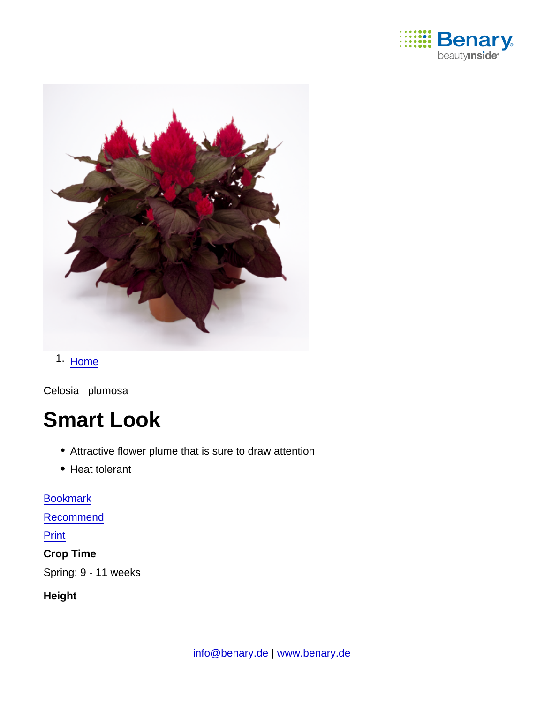

# 1. [Home](https://www.benary.com/)

Celosia plumosa

# Smart Look

- Attractive flower plume that is sure to draw attention
- Heat tolerant

**[Bookmark](https://www.benary.com/flag/flag/product/5829?destination&token=Cw4Gdt35L1u7ahzFWoOdb1a9x3SCpTJxL_qnIhpl9cc)** 

[Recommend](mailto:?subject=Benary Celosia plumosa &body=https://www.benary.com/print/pdf/node/5829)

#### **Print**

Crop Time

Spring: 9 - 11 weeks

Height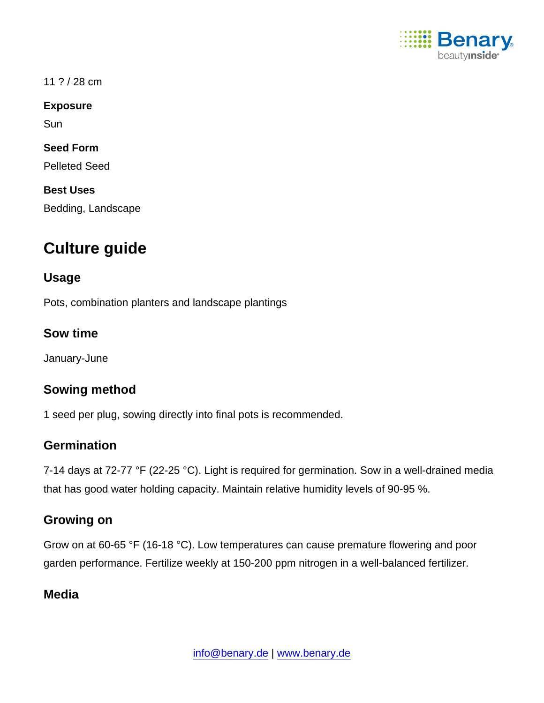

11 ? / 28 cm

Exposure

**Sun** 

Seed Form

Pelleted Seed

Best Uses

Bedding, Landscape

# Culture guide

#### Usage

Pots, combination planters and landscape plantings

Sow time

January-June

# Sowing method

1 seed per plug, sowing directly into final pots is recommended.

# **Germination**

7-14 days at 72-77 °F (22-25 °C). Light is required for germination. Sow in a well-drained media that has good water holding capacity. Maintain relative humidity levels of 90-95 %.

# Growing on

Grow on at 60-65 °F (16-18 °C). Low temperatures can cause premature flowering and poor garden performance. Fertilize weekly at 150-200 ppm nitrogen in a well-balanced fertilizer.

# Media